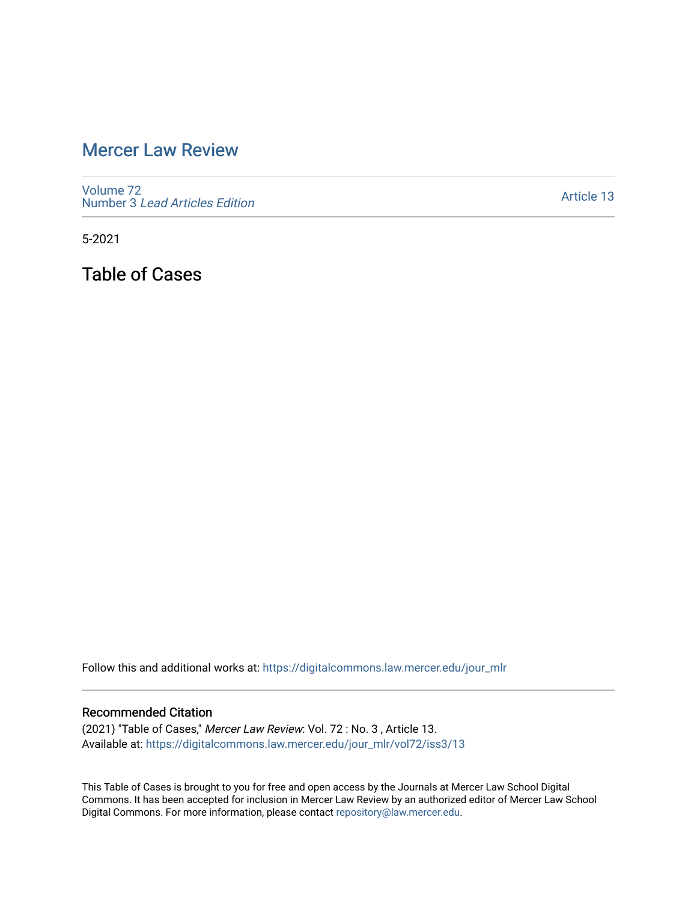## [Mercer Law Review](https://digitalcommons.law.mercer.edu/jour_mlr)

[Volume 72](https://digitalcommons.law.mercer.edu/jour_mlr/vol72) Number 3 [Lead Articles Edition](https://digitalcommons.law.mercer.edu/jour_mlr/vol72/iss3)

[Article 13](https://digitalcommons.law.mercer.edu/jour_mlr/vol72/iss3/13) 

5-2021

Table of Cases

Follow this and additional works at: [https://digitalcommons.law.mercer.edu/jour\\_mlr](https://digitalcommons.law.mercer.edu/jour_mlr?utm_source=digitalcommons.law.mercer.edu%2Fjour_mlr%2Fvol72%2Fiss3%2F13&utm_medium=PDF&utm_campaign=PDFCoverPages)

## Recommended Citation

(2021) "Table of Cases," Mercer Law Review: Vol. 72 : No. 3 , Article 13. Available at: [https://digitalcommons.law.mercer.edu/jour\\_mlr/vol72/iss3/13](https://digitalcommons.law.mercer.edu/jour_mlr/vol72/iss3/13?utm_source=digitalcommons.law.mercer.edu%2Fjour_mlr%2Fvol72%2Fiss3%2F13&utm_medium=PDF&utm_campaign=PDFCoverPages) 

This Table of Cases is brought to you for free and open access by the Journals at Mercer Law School Digital Commons. It has been accepted for inclusion in Mercer Law Review by an authorized editor of Mercer Law School Digital Commons. For more information, please contact [repository@law.mercer.edu](mailto:repository@law.mercer.edu).